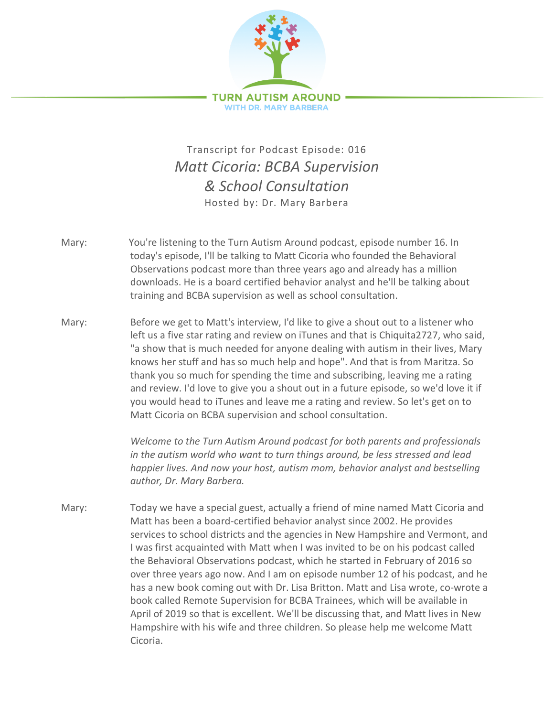

## Transcript for Podcast Episode: 016 *Matt Cicoria: BCBA Supervision & School Consultation* Hosted by: Dr. Mary Barbera

- Mary: You're listening to the Turn Autism Around podcast, episode number 16. In today's episode, I'll be talking to Matt Cicoria who founded the Behavioral Observations podcast more than three years ago and already has a million downloads. He is a board certified behavior analyst and he'll be talking about training and BCBA supervision as well as school consultation.
- Mary: Before we get to Matt's interview, I'd like to give a shout out to a listener who left us a five star rating and review on iTunes and that is Chiquita2727, who said, "a show that is much needed for anyone dealing with autism in their lives, Mary knows her stuff and has so much help and hope". And that is from Maritza. So thank you so much for spending the time and subscribing, leaving me a rating and review. I'd love to give you a shout out in a future episode, so we'd love it if you would head to iTunes and leave me a rating and review. So let's get on to Matt Cicoria on BCBA supervision and school consultation.

*Welcome to the Turn Autism Around podcast for both parents and professionals in the autism world who want to turn things around, be less stressed and lead happier lives. And now your host, autism mom, behavior analyst and bestselling author, Dr. Mary Barbera.*

Mary: Today we have a special guest, actually a friend of mine named Matt Cicoria and Matt has been a board-certified behavior analyst since 2002. He provides services to school districts and the agencies in New Hampshire and Vermont, and I was first acquainted with Matt when I was invited to be on his podcast called the Behavioral Observations podcast, which he started in February of 2016 so over three years ago now. And I am on episode number 12 of his podcast, and he has a new book coming out with Dr. Lisa Britton. Matt and Lisa wrote, co-wrote a book called Remote Supervision for BCBA Trainees, which will be available in April of 2019 so that is excellent. We'll be discussing that, and Matt lives in New Hampshire with his wife and three children. So please help me welcome Matt Cicoria.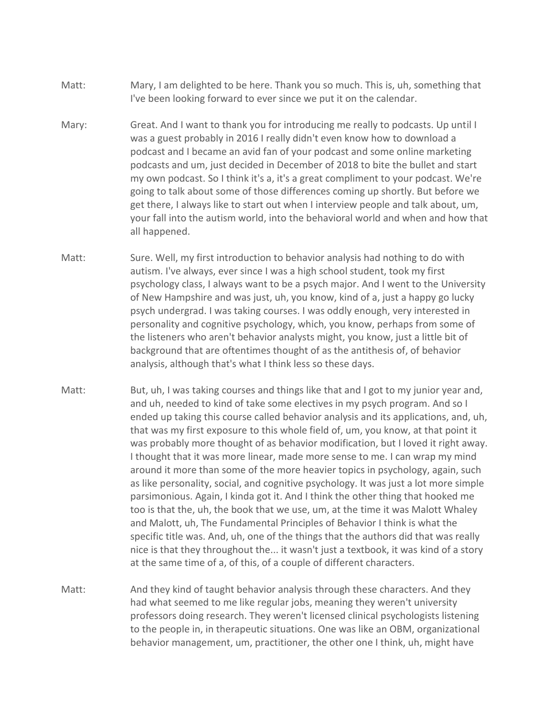- Matt: Mary, I am delighted to be here. Thank you so much. This is, uh, something that I've been looking forward to ever since we put it on the calendar.
- Mary: Great. And I want to thank you for introducing me really to podcasts. Up until I was a guest probably in 2016 I really didn't even know how to download a podcast and I became an avid fan of your podcast and some online marketing podcasts and um, just decided in December of 2018 to bite the bullet and start my own podcast. So I think it's a, it's a great compliment to your podcast. We're going to talk about some of those differences coming up shortly. But before we get there, I always like to start out when I interview people and talk about, um, your fall into the autism world, into the behavioral world and when and how that all happened.
- Matt: Sure. Well, my first introduction to behavior analysis had nothing to do with autism. I've always, ever since I was a high school student, took my first psychology class, I always want to be a psych major. And I went to the University of New Hampshire and was just, uh, you know, kind of a, just a happy go lucky psych undergrad. I was taking courses. I was oddly enough, very interested in personality and cognitive psychology, which, you know, perhaps from some of the listeners who aren't behavior analysts might, you know, just a little bit of background that are oftentimes thought of as the antithesis of, of behavior analysis, although that's what I think less so these days.
- Matt: But, uh, I was taking courses and things like that and I got to my junior year and, and uh, needed to kind of take some electives in my psych program. And so I ended up taking this course called behavior analysis and its applications, and, uh, that was my first exposure to this whole field of, um, you know, at that point it was probably more thought of as behavior modification, but I loved it right away. I thought that it was more linear, made more sense to me. I can wrap my mind around it more than some of the more heavier topics in psychology, again, such as like personality, social, and cognitive psychology. It was just a lot more simple parsimonious. Again, I kinda got it. And I think the other thing that hooked me too is that the, uh, the book that we use, um, at the time it was Malott Whaley and Malott, uh, The Fundamental Principles of Behavior I think is what the specific title was. And, uh, one of the things that the authors did that was really nice is that they throughout the... it wasn't just a textbook, it was kind of a story at the same time of a, of this, of a couple of different characters.
- Matt: And they kind of taught behavior analysis through these characters. And they had what seemed to me like regular jobs, meaning they weren't university professors doing research. They weren't licensed clinical psychologists listening to the people in, in therapeutic situations. One was like an OBM, organizational behavior management, um, practitioner, the other one I think, uh, might have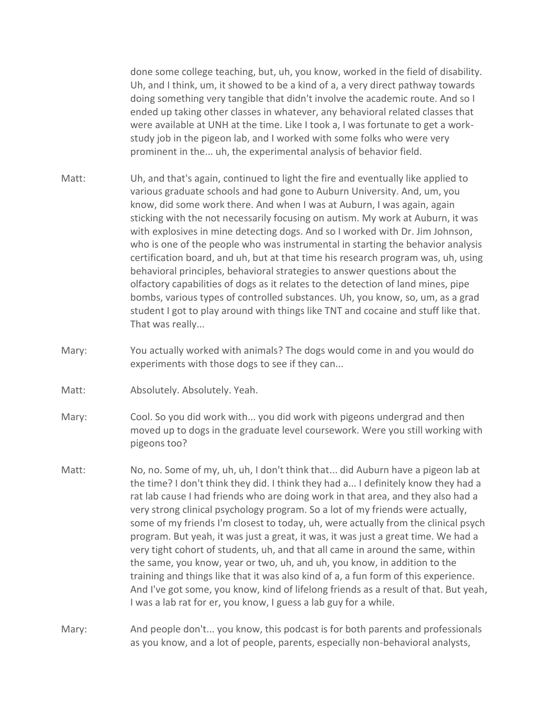done some college teaching, but, uh, you know, worked in the field of disability. Uh, and I think, um, it showed to be a kind of a, a very direct pathway towards doing something very tangible that didn't involve the academic route. And so I ended up taking other classes in whatever, any behavioral related classes that were available at UNH at the time. Like I took a, I was fortunate to get a workstudy job in the pigeon lab, and I worked with some folks who were very prominent in the... uh, the experimental analysis of behavior field.

- Matt: Uh, and that's again, continued to light the fire and eventually like applied to various graduate schools and had gone to Auburn University. And, um, you know, did some work there. And when I was at Auburn, I was again, again sticking with the not necessarily focusing on autism. My work at Auburn, it was with explosives in mine detecting dogs. And so I worked with Dr. Jim Johnson, who is one of the people who was instrumental in starting the behavior analysis certification board, and uh, but at that time his research program was, uh, using behavioral principles, behavioral strategies to answer questions about the olfactory capabilities of dogs as it relates to the detection of land mines, pipe bombs, various types of controlled substances. Uh, you know, so, um, as a grad student I got to play around with things like TNT and cocaine and stuff like that. That was really...
- Mary: You actually worked with animals? The dogs would come in and you would do experiments with those dogs to see if they can...
- Matt: Absolutely. Absolutely. Yeah.
- Mary: Cool. So you did work with... you did work with pigeons undergrad and then moved up to dogs in the graduate level coursework. Were you still working with pigeons too?
- Matt: No, no. Some of my, uh, uh, I don't think that... did Auburn have a pigeon lab at the time? I don't think they did. I think they had a... I definitely know they had a rat lab cause I had friends who are doing work in that area, and they also had a very strong clinical psychology program. So a lot of my friends were actually, some of my friends I'm closest to today, uh, were actually from the clinical psych program. But yeah, it was just a great, it was, it was just a great time. We had a very tight cohort of students, uh, and that all came in around the same, within the same, you know, year or two, uh, and uh, you know, in addition to the training and things like that it was also kind of a, a fun form of this experience. And I've got some, you know, kind of lifelong friends as a result of that. But yeah, I was a lab rat for er, you know, I guess a lab guy for a while.
- Mary: And people don't... you know, this podcast is for both parents and professionals as you know, and a lot of people, parents, especially non-behavioral analysts,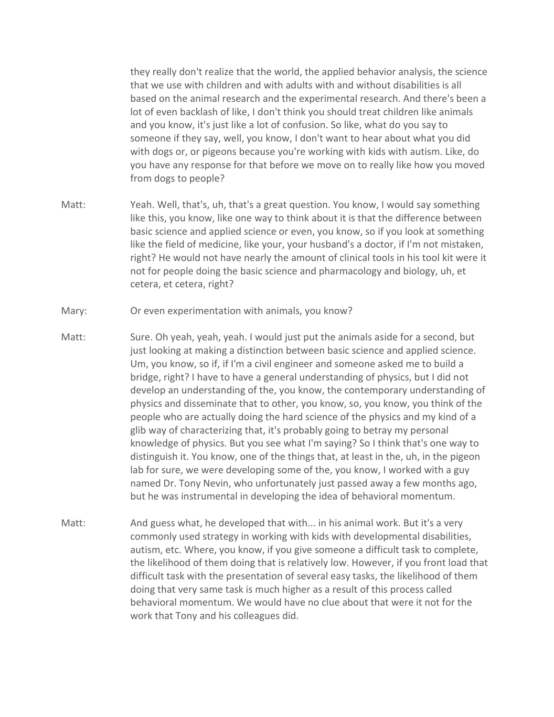they really don't realize that the world, the applied behavior analysis, the science that we use with children and with adults with and without disabilities is all based on the animal research and the experimental research. And there's been a lot of even backlash of like, I don't think you should treat children like animals and you know, it's just like a lot of confusion. So like, what do you say to someone if they say, well, you know, I don't want to hear about what you did with dogs or, or pigeons because you're working with kids with autism. Like, do you have any response for that before we move on to really like how you moved from dogs to people?

- Matt: Yeah. Well, that's, uh, that's a great question. You know, I would say something like this, you know, like one way to think about it is that the difference between basic science and applied science or even, you know, so if you look at something like the field of medicine, like your, your husband's a doctor, if I'm not mistaken, right? He would not have nearly the amount of clinical tools in his tool kit were it not for people doing the basic science and pharmacology and biology, uh, et cetera, et cetera, right?
- Mary: Or even experimentation with animals, you know?
- Matt: Sure. Oh yeah, yeah, yeah. I would just put the animals aside for a second, but just looking at making a distinction between basic science and applied science. Um, you know, so if, if I'm a civil engineer and someone asked me to build a bridge, right? I have to have a general understanding of physics, but I did not develop an understanding of the, you know, the contemporary understanding of physics and disseminate that to other, you know, so, you know, you think of the people who are actually doing the hard science of the physics and my kind of a glib way of characterizing that, it's probably going to betray my personal knowledge of physics. But you see what I'm saying? So I think that's one way to distinguish it. You know, one of the things that, at least in the, uh, in the pigeon lab for sure, we were developing some of the, you know, I worked with a guy named Dr. Tony Nevin, who unfortunately just passed away a few months ago, but he was instrumental in developing the idea of behavioral momentum.
- Matt: And guess what, he developed that with... in his animal work. But it's a very commonly used strategy in working with kids with developmental disabilities, autism, etc. Where, you know, if you give someone a difficult task to complete, the likelihood of them doing that is relatively low. However, if you front load that difficult task with the presentation of several easy tasks, the likelihood of them doing that very same task is much higher as a result of this process called behavioral momentum. We would have no clue about that were it not for the work that Tony and his colleagues did.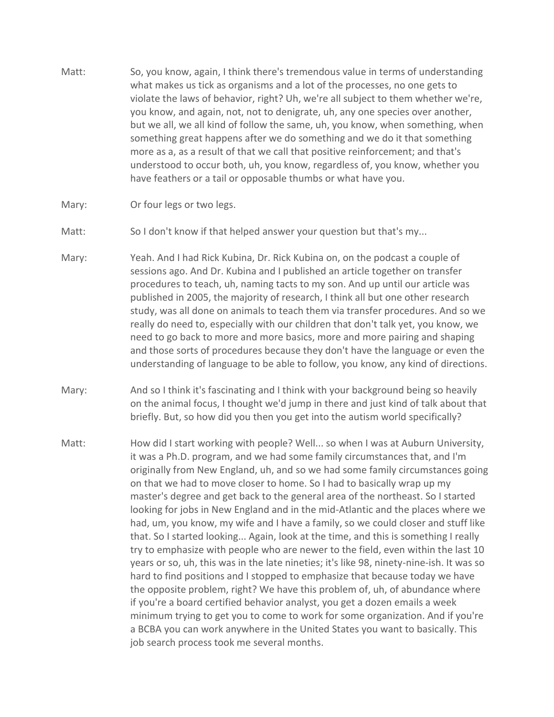- Matt: So, you know, again, I think there's tremendous value in terms of understanding what makes us tick as organisms and a lot of the processes, no one gets to violate the laws of behavior, right? Uh, we're all subject to them whether we're, you know, and again, not, not to denigrate, uh, any one species over another, but we all, we all kind of follow the same, uh, you know, when something, when something great happens after we do something and we do it that something more as a, as a result of that we call that positive reinforcement; and that's understood to occur both, uh, you know, regardless of, you know, whether you have feathers or a tail or opposable thumbs or what have you.
- Mary: Or four legs or two legs.
- Matt: So I don't know if that helped answer your question but that's my...
- Mary: Yeah. And I had Rick Kubina, Dr. Rick Kubina on, on the podcast a couple of sessions ago. And Dr. Kubina and I published an article together on transfer procedures to teach, uh, naming tacts to my son. And up until our article was published in 2005, the majority of research, I think all but one other research study, was all done on animals to teach them via transfer procedures. And so we really do need to, especially with our children that don't talk yet, you know, we need to go back to more and more basics, more and more pairing and shaping and those sorts of procedures because they don't have the language or even the understanding of language to be able to follow, you know, any kind of directions.
- Mary: And so I think it's fascinating and I think with your background being so heavily on the animal focus, I thought we'd jump in there and just kind of talk about that briefly. But, so how did you then you get into the autism world specifically?
- Matt: How did I start working with people? Well... so when I was at Auburn University, it was a Ph.D. program, and we had some family circumstances that, and I'm originally from New England, uh, and so we had some family circumstances going on that we had to move closer to home. So I had to basically wrap up my master's degree and get back to the general area of the northeast. So I started looking for jobs in New England and in the mid-Atlantic and the places where we had, um, you know, my wife and I have a family, so we could closer and stuff like that. So I started looking... Again, look at the time, and this is something I really try to emphasize with people who are newer to the field, even within the last 10 years or so, uh, this was in the late nineties; it's like 98, ninety-nine-ish. It was so hard to find positions and I stopped to emphasize that because today we have the opposite problem, right? We have this problem of, uh, of abundance where if you're a board certified behavior analyst, you get a dozen emails a week minimum trying to get you to come to work for some organization. And if you're a BCBA you can work anywhere in the United States you want to basically. This job search process took me several months.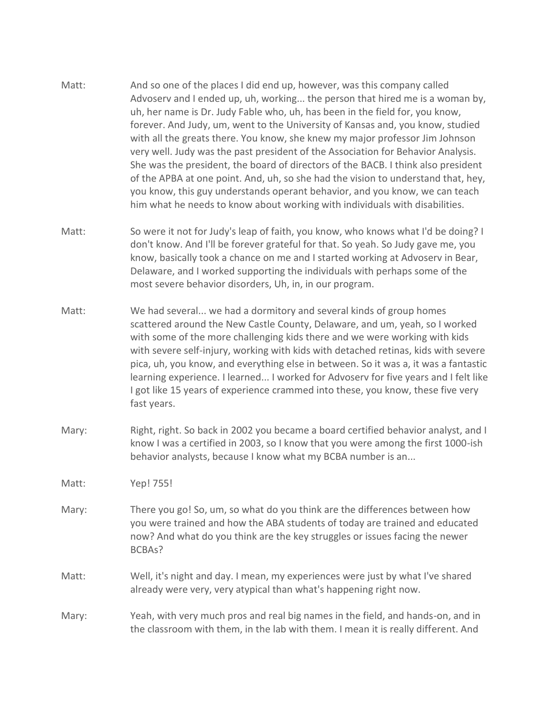- Matt: And so one of the places I did end up, however, was this company called Advoserv and I ended up, uh, working... the person that hired me is a woman by, uh, her name is Dr. Judy Fable who, uh, has been in the field for, you know, forever. And Judy, um, went to the University of Kansas and, you know, studied with all the greats there. You know, she knew my major professor Jim Johnson very well. Judy was the past president of the Association for Behavior Analysis. She was the president, the board of directors of the BACB. I think also president of the APBA at one point. And, uh, so she had the vision to understand that, hey, you know, this guy understands operant behavior, and you know, we can teach him what he needs to know about working with individuals with disabilities.
- Matt: So were it not for Judy's leap of faith, you know, who knows what I'd be doing? I don't know. And I'll be forever grateful for that. So yeah. So Judy gave me, you know, basically took a chance on me and I started working at Advoserv in Bear, Delaware, and I worked supporting the individuals with perhaps some of the most severe behavior disorders, Uh, in, in our program.
- Matt: We had several... we had a dormitory and several kinds of group homes scattered around the New Castle County, Delaware, and um, yeah, so I worked with some of the more challenging kids there and we were working with kids with severe self-injury, working with kids with detached retinas, kids with severe pica, uh, you know, and everything else in between. So it was a, it was a fantastic learning experience. I learned... I worked for Advoserv for five years and I felt like I got like 15 years of experience crammed into these, you know, these five very fast years.
- Mary: Right, right. So back in 2002 you became a board certified behavior analyst, and I know I was a certified in 2003, so I know that you were among the first 1000-ish behavior analysts, because I know what my BCBA number is an...

Matt: Yep! 755!

- Mary: There you go! So, um, so what do you think are the differences between how you were trained and how the ABA students of today are trained and educated now? And what do you think are the key struggles or issues facing the newer BCBAs?
- Matt: Well, it's night and day. I mean, my experiences were just by what I've shared already were very, very atypical than what's happening right now.
- Mary: Yeah, with very much pros and real big names in the field, and hands-on, and in the classroom with them, in the lab with them. I mean it is really different. And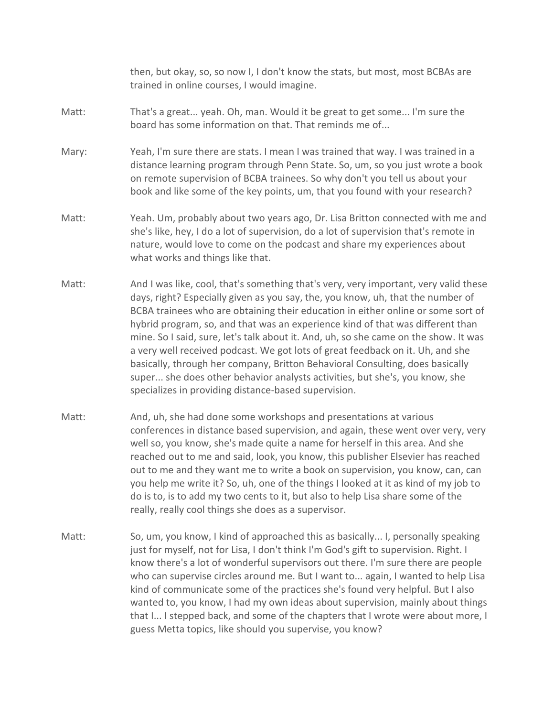then, but okay, so, so now I, I don't know the stats, but most, most BCBAs are trained in online courses, I would imagine.

- Matt: That's a great... yeah. Oh, man. Would it be great to get some... I'm sure the board has some information on that. That reminds me of...
- Mary: Yeah, I'm sure there are stats. I mean I was trained that way. I was trained in a distance learning program through Penn State. So, um, so you just wrote a book on remote supervision of BCBA trainees. So why don't you tell us about your book and like some of the key points, um, that you found with your research?
- Matt: Yeah. Um, probably about two years ago, Dr. Lisa Britton connected with me and she's like, hey, I do a lot of supervision, do a lot of supervision that's remote in nature, would love to come on the podcast and share my experiences about what works and things like that.
- Matt: And I was like, cool, that's something that's very, very important, very valid these days, right? Especially given as you say, the, you know, uh, that the number of BCBA trainees who are obtaining their education in either online or some sort of hybrid program, so, and that was an experience kind of that was different than mine. So I said, sure, let's talk about it. And, uh, so she came on the show. It was a very well received podcast. We got lots of great feedback on it. Uh, and she basically, through her company, Britton Behavioral Consulting, does basically super... she does other behavior analysts activities, but she's, you know, she specializes in providing distance-based supervision.
- Matt: And, uh, she had done some workshops and presentations at various conferences in distance based supervision, and again, these went over very, very well so, you know, she's made quite a name for herself in this area. And she reached out to me and said, look, you know, this publisher Elsevier has reached out to me and they want me to write a book on supervision, you know, can, can you help me write it? So, uh, one of the things I looked at it as kind of my job to do is to, is to add my two cents to it, but also to help Lisa share some of the really, really cool things she does as a supervisor.
- Matt: So, um, you know, I kind of approached this as basically... I, personally speaking just for myself, not for Lisa, I don't think I'm God's gift to supervision. Right. I know there's a lot of wonderful supervisors out there. I'm sure there are people who can supervise circles around me. But I want to... again, I wanted to help Lisa kind of communicate some of the practices she's found very helpful. But I also wanted to, you know, I had my own ideas about supervision, mainly about things that I... I stepped back, and some of the chapters that I wrote were about more, I guess Metta topics, like should you supervise, you know?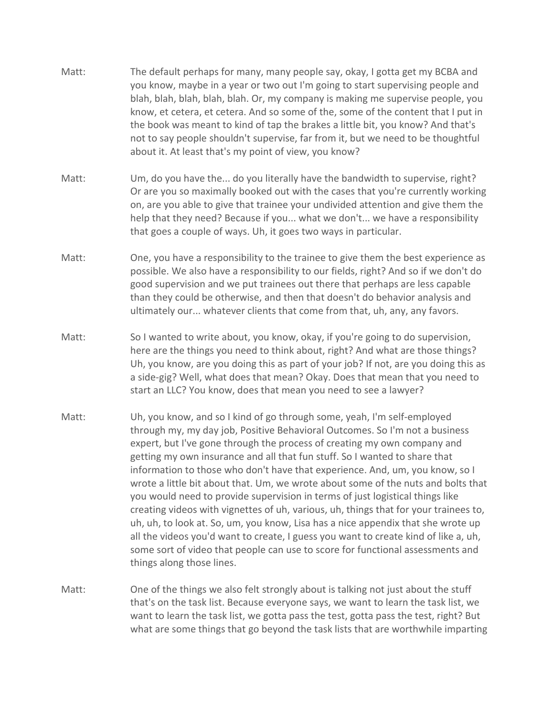- Matt: The default perhaps for many, many people say, okay, I gotta get my BCBA and you know, maybe in a year or two out I'm going to start supervising people and blah, blah, blah, blah, blah. Or, my company is making me supervise people, you know, et cetera, et cetera. And so some of the, some of the content that I put in the book was meant to kind of tap the brakes a little bit, you know? And that's not to say people shouldn't supervise, far from it, but we need to be thoughtful about it. At least that's my point of view, you know?
- Matt: Um, do you have the... do you literally have the bandwidth to supervise, right? Or are you so maximally booked out with the cases that you're currently working on, are you able to give that trainee your undivided attention and give them the help that they need? Because if you... what we don't... we have a responsibility that goes a couple of ways. Uh, it goes two ways in particular.
- Matt: One, you have a responsibility to the trainee to give them the best experience as possible. We also have a responsibility to our fields, right? And so if we don't do good supervision and we put trainees out there that perhaps are less capable than they could be otherwise, and then that doesn't do behavior analysis and ultimately our... whatever clients that come from that, uh, any, any favors.
- Matt: So I wanted to write about, you know, okay, if you're going to do supervision, here are the things you need to think about, right? And what are those things? Uh, you know, are you doing this as part of your job? If not, are you doing this as a side-gig? Well, what does that mean? Okay. Does that mean that you need to start an LLC? You know, does that mean you need to see a lawyer?
- Matt: Uh, you know, and so I kind of go through some, yeah, I'm self-employed through my, my day job, Positive Behavioral Outcomes. So I'm not a business expert, but I've gone through the process of creating my own company and getting my own insurance and all that fun stuff. So I wanted to share that information to those who don't have that experience. And, um, you know, so I wrote a little bit about that. Um, we wrote about some of the nuts and bolts that you would need to provide supervision in terms of just logistical things like creating videos with vignettes of uh, various, uh, things that for your trainees to, uh, uh, to look at. So, um, you know, Lisa has a nice appendix that she wrote up all the videos you'd want to create, I guess you want to create kind of like a, uh, some sort of video that people can use to score for functional assessments and things along those lines.
- Matt: One of the things we also felt strongly about is talking not just about the stuff that's on the task list. Because everyone says, we want to learn the task list, we want to learn the task list, we gotta pass the test, gotta pass the test, right? But what are some things that go beyond the task lists that are worthwhile imparting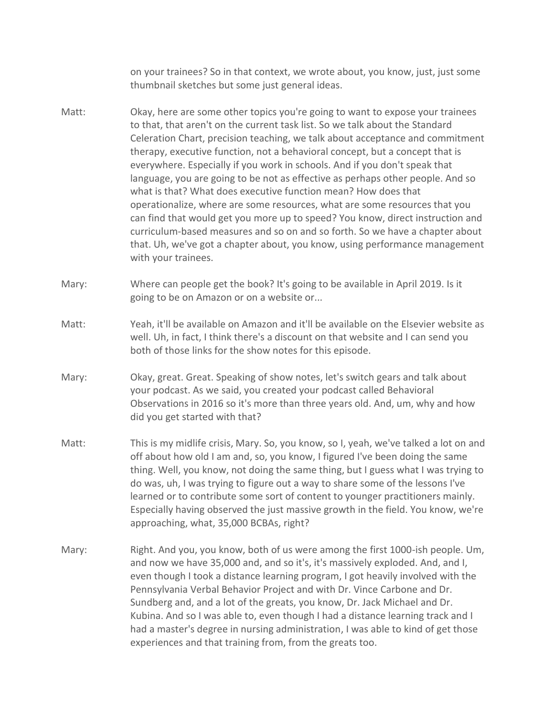on your trainees? So in that context, we wrote about, you know, just, just some thumbnail sketches but some just general ideas.

- Matt: Okay, here are some other topics you're going to want to expose your trainees to that, that aren't on the current task list. So we talk about the Standard Celeration Chart, precision teaching, we talk about acceptance and commitment therapy, executive function, not a behavioral concept, but a concept that is everywhere. Especially if you work in schools. And if you don't speak that language, you are going to be not as effective as perhaps other people. And so what is that? What does executive function mean? How does that operationalize, where are some resources, what are some resources that you can find that would get you more up to speed? You know, direct instruction and curriculum-based measures and so on and so forth. So we have a chapter about that. Uh, we've got a chapter about, you know, using performance management with your trainees.
- Mary: Where can people get the book? It's going to be available in April 2019. Is it going to be on Amazon or on a website or...
- Matt: Yeah, it'll be available on Amazon and it'll be available on the Elsevier website as well. Uh, in fact, I think there's a discount on that website and I can send you both of those links for the show notes for this episode.
- Mary: Okay, great. Great. Speaking of show notes, let's switch gears and talk about your podcast. As we said, you created your podcast called Behavioral Observations in 2016 so it's more than three years old. And, um, why and how did you get started with that?
- Matt: This is my midlife crisis, Mary. So, you know, so I, yeah, we've talked a lot on and off about how old I am and, so, you know, I figured I've been doing the same thing. Well, you know, not doing the same thing, but I guess what I was trying to do was, uh, I was trying to figure out a way to share some of the lessons I've learned or to contribute some sort of content to younger practitioners mainly. Especially having observed the just massive growth in the field. You know, we're approaching, what, 35,000 BCBAs, right?
- Mary: Right. And you, you know, both of us were among the first 1000-ish people. Um, and now we have 35,000 and, and so it's, it's massively exploded. And, and I, even though I took a distance learning program, I got heavily involved with the Pennsylvania Verbal Behavior Project and with Dr. Vince Carbone and Dr. Sundberg and, and a lot of the greats, you know, Dr. Jack Michael and Dr. Kubina. And so I was able to, even though I had a distance learning track and I had a master's degree in nursing administration, I was able to kind of get those experiences and that training from, from the greats too.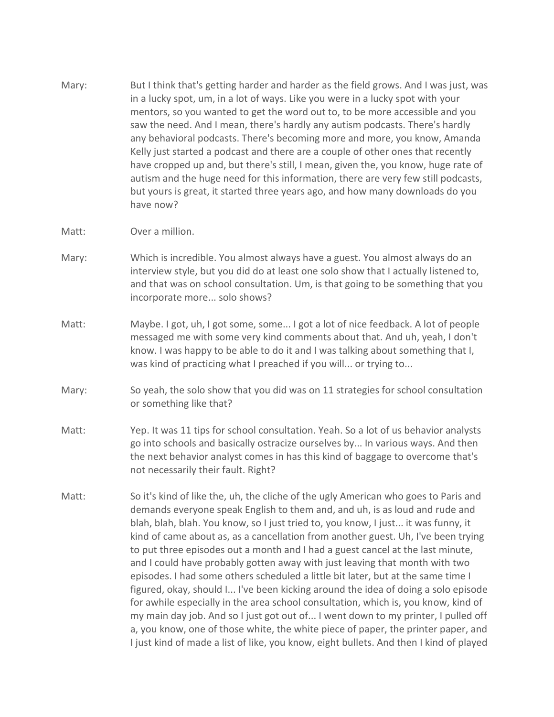- Mary: But I think that's getting harder and harder as the field grows. And I was just, was in a lucky spot, um, in a lot of ways. Like you were in a lucky spot with your mentors, so you wanted to get the word out to, to be more accessible and you saw the need. And I mean, there's hardly any autism podcasts. There's hardly any behavioral podcasts. There's becoming more and more, you know, Amanda Kelly just started a podcast and there are a couple of other ones that recently have cropped up and, but there's still, I mean, given the, you know, huge rate of autism and the huge need for this information, there are very few still podcasts, but yours is great, it started three years ago, and how many downloads do you have now?
- Matt: Over a million.
- Mary: Which is incredible. You almost always have a guest. You almost always do an interview style, but you did do at least one solo show that I actually listened to, and that was on school consultation. Um, is that going to be something that you incorporate more... solo shows?
- Matt: Maybe. I got, uh, I got some, some... I got a lot of nice feedback. A lot of people messaged me with some very kind comments about that. And uh, yeah, I don't know. I was happy to be able to do it and I was talking about something that I, was kind of practicing what I preached if you will... or trying to...
- Mary: So yeah, the solo show that you did was on 11 strategies for school consultation or something like that?
- Matt: Yep. It was 11 tips for school consultation. Yeah. So a lot of us behavior analysts go into schools and basically ostracize ourselves by... In various ways. And then the next behavior analyst comes in has this kind of baggage to overcome that's not necessarily their fault. Right?
- Matt: So it's kind of like the, uh, the cliche of the ugly American who goes to Paris and demands everyone speak English to them and, and uh, is as loud and rude and blah, blah, blah. You know, so I just tried to, you know, I just... it was funny, it kind of came about as, as a cancellation from another guest. Uh, I've been trying to put three episodes out a month and I had a guest cancel at the last minute, and I could have probably gotten away with just leaving that month with two episodes. I had some others scheduled a little bit later, but at the same time I figured, okay, should I... I've been kicking around the idea of doing a solo episode for awhile especially in the area school consultation, which is, you know, kind of my main day job. And so I just got out of... I went down to my printer, I pulled off a, you know, one of those white, the white piece of paper, the printer paper, and I just kind of made a list of like, you know, eight bullets. And then I kind of played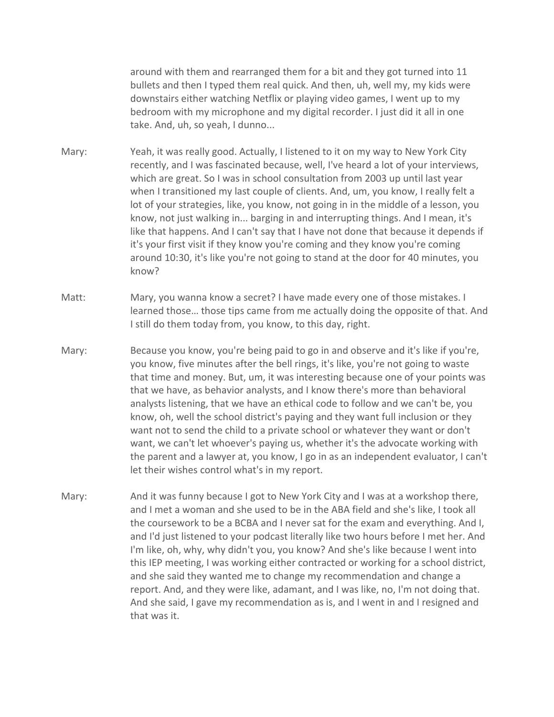around with them and rearranged them for a bit and they got turned into 11 bullets and then I typed them real quick. And then, uh, well my, my kids were downstairs either watching Netflix or playing video games, I went up to my bedroom with my microphone and my digital recorder. I just did it all in one take. And, uh, so yeah, I dunno...

- Mary: Yeah, it was really good. Actually, I listened to it on my way to New York City recently, and I was fascinated because, well, I've heard a lot of your interviews, which are great. So I was in school consultation from 2003 up until last year when I transitioned my last couple of clients. And, um, you know, I really felt a lot of your strategies, like, you know, not going in in the middle of a lesson, you know, not just walking in... barging in and interrupting things. And I mean, it's like that happens. And I can't say that I have not done that because it depends if it's your first visit if they know you're coming and they know you're coming around 10:30, it's like you're not going to stand at the door for 40 minutes, you know?
- Matt: Mary, you wanna know a secret? I have made every one of those mistakes. I learned those… those tips came from me actually doing the opposite of that. And I still do them today from, you know, to this day, right.
- Mary: Because you know, you're being paid to go in and observe and it's like if you're, you know, five minutes after the bell rings, it's like, you're not going to waste that time and money. But, um, it was interesting because one of your points was that we have, as behavior analysts, and I know there's more than behavioral analysts listening, that we have an ethical code to follow and we can't be, you know, oh, well the school district's paying and they want full inclusion or they want not to send the child to a private school or whatever they want or don't want, we can't let whoever's paying us, whether it's the advocate working with the parent and a lawyer at, you know, I go in as an independent evaluator, I can't let their wishes control what's in my report.
- Mary: And it was funny because I got to New York City and I was at a workshop there, and I met a woman and she used to be in the ABA field and she's like, I took all the coursework to be a BCBA and I never sat for the exam and everything. And I, and I'd just listened to your podcast literally like two hours before I met her. And I'm like, oh, why, why didn't you, you know? And she's like because I went into this IEP meeting, I was working either contracted or working for a school district, and she said they wanted me to change my recommendation and change a report. And, and they were like, adamant, and I was like, no, I'm not doing that. And she said, I gave my recommendation as is, and I went in and I resigned and that was it.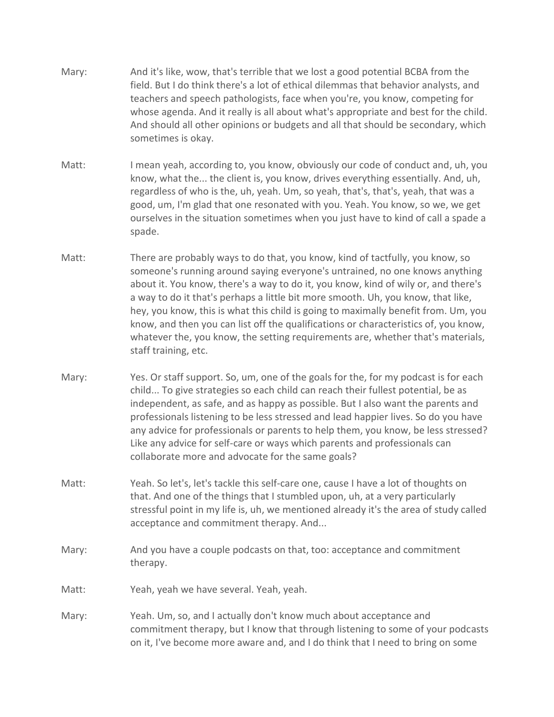- Mary: And it's like, wow, that's terrible that we lost a good potential BCBA from the field. But I do think there's a lot of ethical dilemmas that behavior analysts, and teachers and speech pathologists, face when you're, you know, competing for whose agenda. And it really is all about what's appropriate and best for the child. And should all other opinions or budgets and all that should be secondary, which sometimes is okay.
- Matt: I mean yeah, according to, you know, obviously our code of conduct and, uh, you know, what the... the client is, you know, drives everything essentially. And, uh, regardless of who is the, uh, yeah. Um, so yeah, that's, that's, yeah, that was a good, um, I'm glad that one resonated with you. Yeah. You know, so we, we get ourselves in the situation sometimes when you just have to kind of call a spade a spade.
- Matt: There are probably ways to do that, you know, kind of tactfully, you know, so someone's running around saying everyone's untrained, no one knows anything about it. You know, there's a way to do it, you know, kind of wily or, and there's a way to do it that's perhaps a little bit more smooth. Uh, you know, that like, hey, you know, this is what this child is going to maximally benefit from. Um, you know, and then you can list off the qualifications or characteristics of, you know, whatever the, you know, the setting requirements are, whether that's materials, staff training, etc.
- Mary: Yes. Or staff support. So, um, one of the goals for the, for my podcast is for each child... To give strategies so each child can reach their fullest potential, be as independent, as safe, and as happy as possible. But I also want the parents and professionals listening to be less stressed and lead happier lives. So do you have any advice for professionals or parents to help them, you know, be less stressed? Like any advice for self-care or ways which parents and professionals can collaborate more and advocate for the same goals?
- Matt: Yeah. So let's, let's tackle this self-care one, cause I have a lot of thoughts on that. And one of the things that I stumbled upon, uh, at a very particularly stressful point in my life is, uh, we mentioned already it's the area of study called acceptance and commitment therapy. And...
- Mary: And you have a couple podcasts on that, too: acceptance and commitment therapy.
- Matt: Yeah, yeah we have several. Yeah, yeah.
- Mary: Yeah. Um, so, and I actually don't know much about acceptance and commitment therapy, but I know that through listening to some of your podcasts on it, I've become more aware and, and I do think that I need to bring on some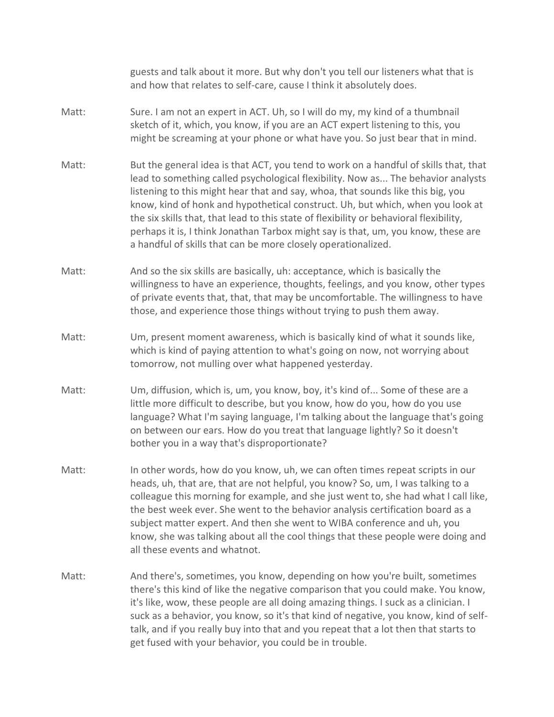guests and talk about it more. But why don't you tell our listeners what that is and how that relates to self-care, cause I think it absolutely does.

- Matt: Sure. I am not an expert in ACT. Uh, so I will do my, my kind of a thumbnail sketch of it, which, you know, if you are an ACT expert listening to this, you might be screaming at your phone or what have you. So just bear that in mind.
- Matt: But the general idea is that ACT, you tend to work on a handful of skills that, that lead to something called psychological flexibility. Now as... The behavior analysts listening to this might hear that and say, whoa, that sounds like this big, you know, kind of honk and hypothetical construct. Uh, but which, when you look at the six skills that, that lead to this state of flexibility or behavioral flexibility, perhaps it is, I think Jonathan Tarbox might say is that, um, you know, these are a handful of skills that can be more closely operationalized.
- Matt: And so the six skills are basically, uh: acceptance, which is basically the willingness to have an experience, thoughts, feelings, and you know, other types of private events that, that, that may be uncomfortable. The willingness to have those, and experience those things without trying to push them away.
- Matt: Um, present moment awareness, which is basically kind of what it sounds like, which is kind of paying attention to what's going on now, not worrying about tomorrow, not mulling over what happened yesterday.
- Matt: Um, diffusion, which is, um, you know, boy, it's kind of... Some of these are a little more difficult to describe, but you know, how do you, how do you use language? What I'm saying language, I'm talking about the language that's going on between our ears. How do you treat that language lightly? So it doesn't bother you in a way that's disproportionate?
- Matt: In other words, how do you know, uh, we can often times repeat scripts in our heads, uh, that are, that are not helpful, you know? So, um, I was talking to a colleague this morning for example, and she just went to, she had what I call like, the best week ever. She went to the behavior analysis certification board as a subject matter expert. And then she went to WIBA conference and uh, you know, she was talking about all the cool things that these people were doing and all these events and whatnot.
- Matt: And there's, sometimes, you know, depending on how you're built, sometimes there's this kind of like the negative comparison that you could make. You know, it's like, wow, these people are all doing amazing things. I suck as a clinician. I suck as a behavior, you know, so it's that kind of negative, you know, kind of selftalk, and if you really buy into that and you repeat that a lot then that starts to get fused with your behavior, you could be in trouble.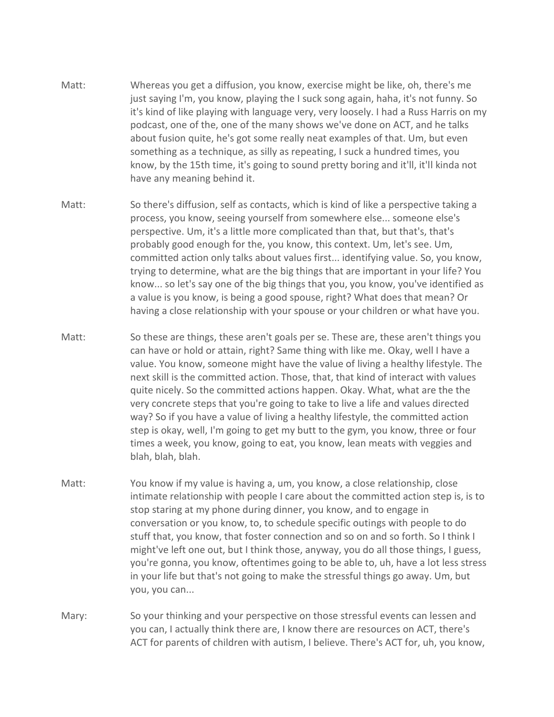- Matt: Whereas you get a diffusion, you know, exercise might be like, oh, there's me just saying I'm, you know, playing the I suck song again, haha, it's not funny. So it's kind of like playing with language very, very loosely. I had a Russ Harris on my podcast, one of the, one of the many shows we've done on ACT, and he talks about fusion quite, he's got some really neat examples of that. Um, but even something as a technique, as silly as repeating, I suck a hundred times, you know, by the 15th time, it's going to sound pretty boring and it'll, it'll kinda not have any meaning behind it.
- Matt: So there's diffusion, self as contacts, which is kind of like a perspective taking a process, you know, seeing yourself from somewhere else... someone else's perspective. Um, it's a little more complicated than that, but that's, that's probably good enough for the, you know, this context. Um, let's see. Um, committed action only talks about values first... identifying value. So, you know, trying to determine, what are the big things that are important in your life? You know... so let's say one of the big things that you, you know, you've identified as a value is you know, is being a good spouse, right? What does that mean? Or having a close relationship with your spouse or your children or what have you.
- Matt: So these are things, these aren't goals per se. These are, these aren't things you can have or hold or attain, right? Same thing with like me. Okay, well I have a value. You know, someone might have the value of living a healthy lifestyle. The next skill is the committed action. Those, that, that kind of interact with values quite nicely. So the committed actions happen. Okay. What, what are the the very concrete steps that you're going to take to live a life and values directed way? So if you have a value of living a healthy lifestyle, the committed action step is okay, well, I'm going to get my butt to the gym, you know, three or four times a week, you know, going to eat, you know, lean meats with veggies and blah, blah, blah.
- Matt: You know if my value is having a, um, you know, a close relationship, close intimate relationship with people I care about the committed action step is, is to stop staring at my phone during dinner, you know, and to engage in conversation or you know, to, to schedule specific outings with people to do stuff that, you know, that foster connection and so on and so forth. So I think I might've left one out, but I think those, anyway, you do all those things, I guess, you're gonna, you know, oftentimes going to be able to, uh, have a lot less stress in your life but that's not going to make the stressful things go away. Um, but you, you can...
- Mary: So your thinking and your perspective on those stressful events can lessen and you can, I actually think there are, I know there are resources on ACT, there's ACT for parents of children with autism, I believe. There's ACT for, uh, you know,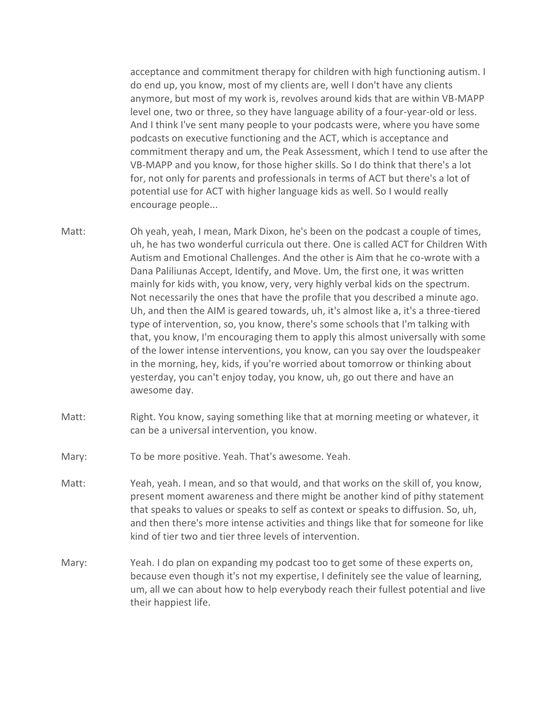acceptance and commitment therapy for children with high functioning autism. I do end up, you know, most of my clients are, well I don't have any clients anymore, but most of my work is, revolves around kids that are within VB-MAPP level one, two or three, so they have language ability of a four-year-old or less. And I think I've sent many people to your podcasts were, where you have some podcasts on executive functioning and the ACT, which is acceptance and commitment therapy and um, the Peak Assessment, which I tend to use after the VB-MAPP and you know, for those higher skills. So I do think that there's a lot for, not only for parents and professionals in terms of ACT but there's a lot of potential use for ACT with higher language kids as well. So I would really encourage people...

- Matt: Oh yeah, yeah, I mean, Mark Dixon, he's been on the podcast a couple of times, uh, he has two wonderful curricula out there. One is called ACT for Children With Autism and Emotional Challenges. And the other is Aim that he co-wrote with a Dana Paliliunas Accept, Identify, and Move. Um, the first one, it was written mainly for kids with, you know, very, very highly verbal kids on the spectrum. Not necessarily the ones that have the profile that you described a minute ago. Uh, and then the AIM is geared towards, uh, it's almost like a, it's a three-tiered type of intervention, so, you know, there's some schools that I'm talking with that, you know, I'm encouraging them to apply this almost universally with some of the lower intense interventions, you know, can you say over the loudspeaker in the morning, hey, kids, if you're worried about tomorrow or thinking about yesterday, you can't enjoy today, you know, uh, go out there and have an awesome day.
- Matt: Right. You know, saying something like that at morning meeting or whatever, it can be a universal intervention, you know.
- Mary: To be more positive. Yeah. That's awesome. Yeah.
- Matt: Yeah, yeah. I mean, and so that would, and that works on the skill of, you know, present moment awareness and there might be another kind of pithy statement that speaks to values or speaks to self as context or speaks to diffusion. So, uh, and then there's more intense activities and things like that for someone for like kind of tier two and tier three levels of intervention.
- Mary: Yeah. I do plan on expanding my podcast too to get some of these experts on, because even though it's not my expertise, I definitely see the value of learning, um, all we can about how to help everybody reach their fullest potential and live their happiest life.